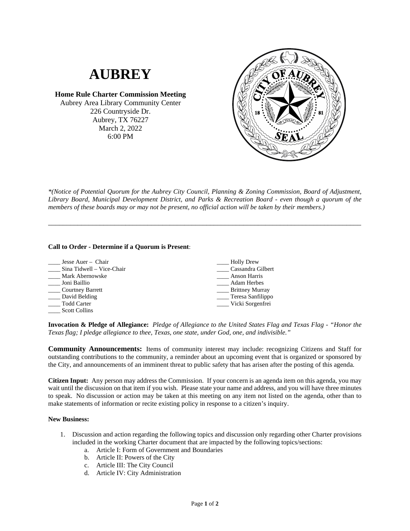

*\*(Notice of Potential Quorum for the Aubrey City Council, Planning & Zoning Commission, Board of Adjustment, Library Board, Municipal Development District, and Parks & Recreation Board - even though a quorum of the members of these boards may or may not be present, no official action will be taken by their members.)*

\_\_\_\_\_\_\_\_\_\_\_\_\_\_\_\_\_\_\_\_\_\_\_\_\_\_\_\_\_\_\_\_\_\_\_\_\_\_\_\_\_\_\_\_\_\_\_\_\_\_\_\_\_\_\_\_\_\_\_\_\_\_\_\_\_\_\_\_\_\_\_\_\_\_\_\_\_\_\_\_\_\_\_\_\_

## **Call to Order - Determine if a Quorum is Present**:

| Jesse Auer – Chair        | <b>Holly Drew</b>          |
|---------------------------|----------------------------|
| Sina Tidwell – Vice-Chair | Cassandra Gilbert          |
| Mark Abernowske           | Anson Harris               |
| Joni Baillio              | <b>Adam Herbes</b>         |
| <b>Courtney Barrett</b>   | Brittney Murray            |
| David Belding             | $\equiv$ Teresa Sanfilippo |
| Todd Carter               | _ Vicki Sorgenfrei         |
| <b>Scott Collins</b>      |                            |

**Invocation & Pledge of Allegiance:** *Pledge of Allegiance to the United States Flag and Texas Flag - "Honor the Texas flag; I pledge allegiance to thee, Texas, one state, under God, one, and indivisible."*

**Community Announcements:** Items of community interest may include: recognizing Citizens and Staff for outstanding contributions to the community, a reminder about an upcoming event that is organized or sponsored by the City, and announcements of an imminent threat to public safety that has arisen after the posting of this agenda.

**Citizen Input:** Any person may address the Commission. If your concern is an agenda item on this agenda, you may wait until the discussion on that item if you wish. Please state your name and address, and you will have three minutes to speak. No discussion or action may be taken at this meeting on any item not listed on the agenda, other than to make statements of information or recite existing policy in response to a citizen's inquiry.

## **New Business:**

- 1. Discussion and action regarding the following topics and discussion only regarding other Charter provisions included in the working Charter document that are impacted by the following topics/sections:
	- a. Article I: Form of Government and Boundaries
	- b. Article II: Powers of the City
	- c. Article III: The City Council
	- d. Article IV: City Administration